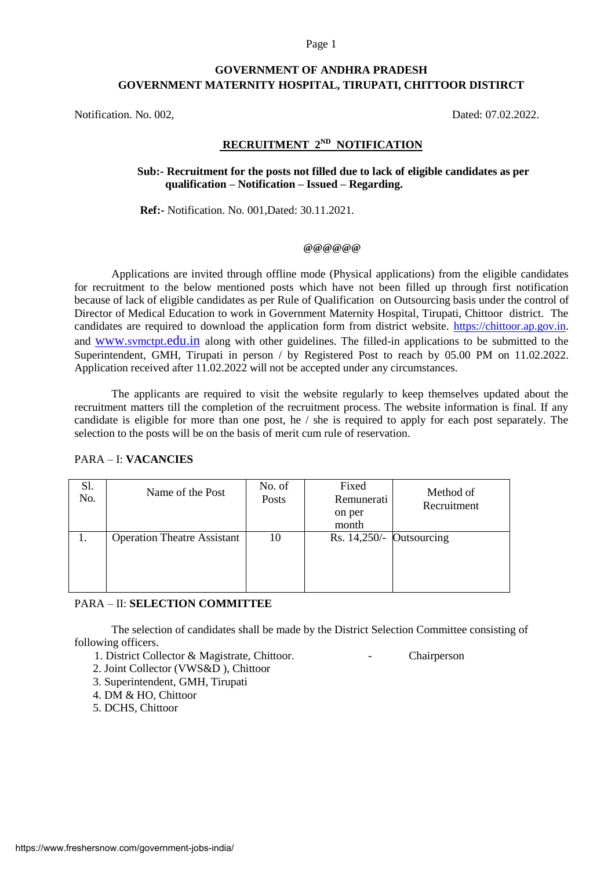#### Page 1

## **GOVERNMENT OF ANDHRA PRADESH GOVERNMENT MATERNITY HOSPITAL, TIRUPATI, CHITTOOR DISTIRCT**

Notification. No. 002, Dated: 07.02.2022.

# **RECRUITMENT 2ND NOTIFICATION**

### **Sub:- Recruitment for the posts not filled due to lack of eligible candidates as per qualification – Notification – Issued – Regarding.**

 **Ref:-** Notification. No. 001,Dated: 30.11.2021.

#### **@@@@@@**

Applications are invited through offline mode (Physical applications) from the eligible candidates for recruitment to the below mentioned posts which have not been filled up through first notification because of lack of eligible candidates as per Rule of Qualification on Outsourcing basis under the control of Director of Medical Education to work in Government Maternity Hospital, Tirupati, Chittoor district. The candidates are required to download the application form from district website. [https://chittoor.ap.gov.in.](https://chittoor.ap.gov.in/) and www.svmctpt[.edu.in](http://www.svmctpt.edu.in/) along with other guidelines. The filled-in applications to be submitted to the Superintendent, GMH, Tirupati in person / by Registered Post to reach by 05.00 PM on 11.02.2022. Application received after 11.02.2022 will not be accepted under any circumstances.

The applicants are required to visit the website regularly to keep themselves updated about the recruitment matters till the completion of the recruitment process. The website information is final. If any candidate is eligible for more than one post, he / she is required to apply for each post separately. The selection to the posts will be on the basis of merit cum rule of reservation.

#### PARA – I: **VACANCIES**

| Sl.<br>No. | Name of the Post                   | No. of<br>Posts | Fixed<br>Remunerati<br>on per<br>month | Method of<br>Recruitment |
|------------|------------------------------------|-----------------|----------------------------------------|--------------------------|
|            | <b>Operation Theatre Assistant</b> | 10              | Rs. $14,250/-$ Outsourcing             |                          |

#### PARA – II: **SELECTION COMMITTEE**

The selection of candidates shall be made by the District Selection Committee consisting of following officers.

- 1. District Collector & Magistrate, Chittoor. Chairperson
	-
- 2. Joint Collector (VWS&D ), Chittoor
- 3. Superintendent, GMH, Tirupati
- 4. DM & HO, Chittoor
- 5. DCHS, Chittoor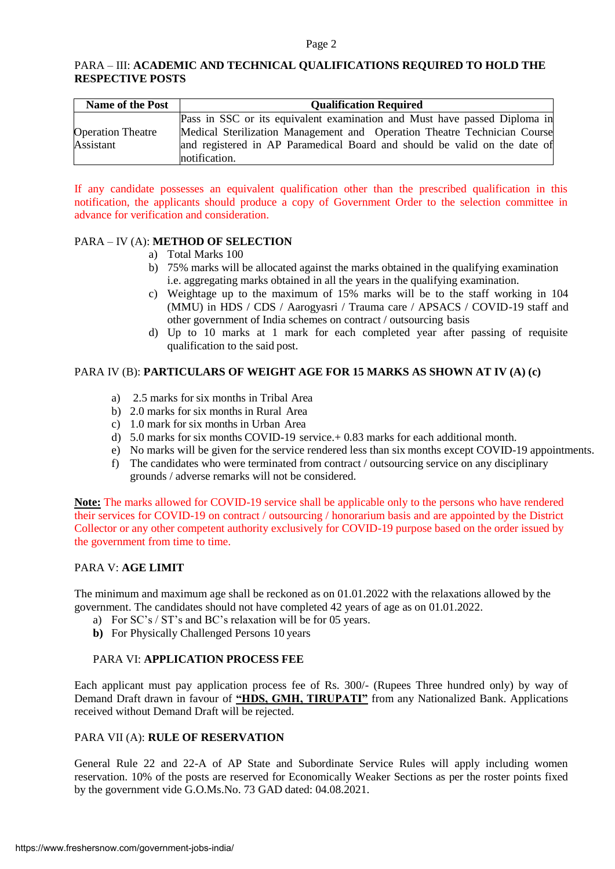### PARA – III: **ACADEMIC AND TECHNICAL QUALIFICATIONS REQUIRED TO HOLD THE RESPECTIVE POSTS**

| <b>Name of the Post</b>  | <b>Qualification Required</b>                                             |  |  |  |  |  |  |  |  |
|--------------------------|---------------------------------------------------------------------------|--|--|--|--|--|--|--|--|
|                          | Pass in SSC or its equivalent examination and Must have passed Diploma in |  |  |  |  |  |  |  |  |
| <b>Operation Theatre</b> | Medical Sterilization Management and Operation Theatre Technician Course  |  |  |  |  |  |  |  |  |
| Assistant                | and registered in AP Paramedical Board and should be valid on the date of |  |  |  |  |  |  |  |  |
|                          | notification.                                                             |  |  |  |  |  |  |  |  |

If any candidate possesses an equivalent qualification other than the prescribed qualification in this notification, the applicants should produce a copy of Government Order to the selection committee in advance for verification and consideration.

### PARA – IV (A): **METHOD OF SELECTION**

- a) Total Marks 100
- b) 75% marks will be allocated against the marks obtained in the qualifying examination i.e. aggregating marks obtained in all the years in the qualifying examination.
- c) Weightage up to the maximum of 15% marks will be to the staff working in 104 (MMU) in HDS / CDS / Aarogyasri / Trauma care / APSACS / COVID-19 staff and other government of India schemes on contract / outsourcing basis
- d) Up to 10 marks at 1 mark for each completed year after passing of requisite qualification to the said post.

### PARA IV (B): **PARTICULARS OF WEIGHT AGE FOR 15 MARKS AS SHOWN AT IV (A) (c)**

- a) 2.5 marks for six months in Tribal Area
- b) 2.0 marks for six months in Rural Area
- c) 1.0 mark for six months in Urban Area
- d) 5.0 marks for six months COVID-19 service.+ 0.83 marks for each additional month.
- e) No marks will be given for the service rendered less than six months except COVID-19 appointments.
- f) The candidates who were terminated from contract / outsourcing service on any disciplinary grounds / adverse remarks will not be considered.

**Note:** The marks allowed for COVID-19 service shall be applicable only to the persons who have rendered their services for COVID-19 on contract / outsourcing / honorarium basis and are appointed by the District Collector or any other competent authority exclusively for COVID-19 purpose based on the order issued by the government from time to time.

### PARA V: **AGE LIMIT**

The minimum and maximum age shall be reckoned as on 01.01.2022 with the relaxations allowed by the government. The candidates should not have completed 42 years of age as on 01.01.2022.

- a) For SC's / ST's and BC's relaxation will be for 05 years.
- **b)** For Physically Challenged Persons 10 years

#### PARA VI: **APPLICATION PROCESS FEE**

Each applicant must pay application process fee of Rs. 300/- (Rupees Three hundred only) by way of Demand Draft drawn in favour of **"HDS, GMH, TIRUPATI"** from any Nationalized Bank. Applications received without Demand Draft will be rejected.

#### PARA VII (A): **RULE OF RESERVATION**

General Rule 22 and 22-A of AP State and Subordinate Service Rules will apply including women reservation. 10% of the posts are reserved for Economically Weaker Sections as per the roster points fixed by the government vide G.O.Ms.No. 73 GAD dated: 04.08.2021.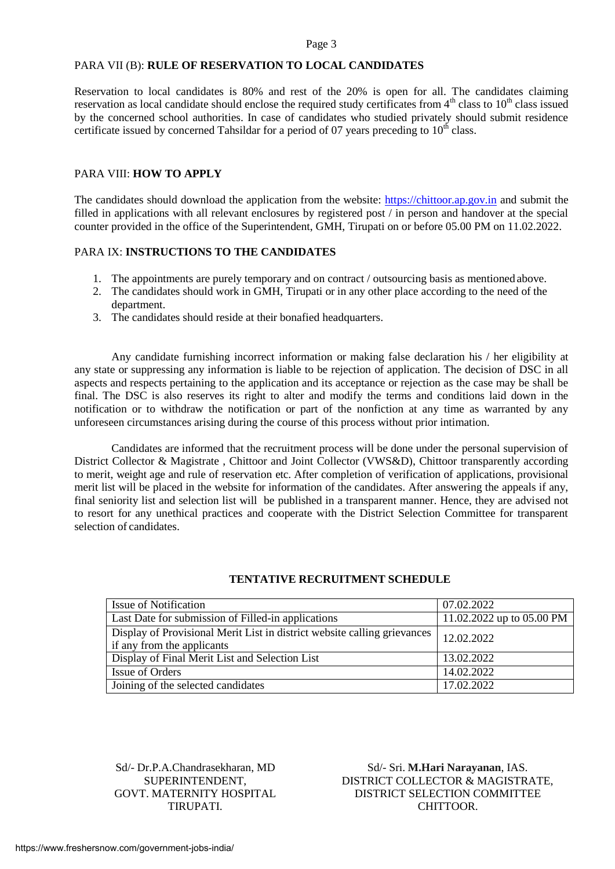#### Page 3

### PARA VII (B): **RULE OF RESERVATION TO LOCAL CANDIDATES**

Reservation to local candidates is 80% and rest of the 20% is open for all. The candidates claiming reservation as local candidate should enclose the required study certificates from  $4<sup>th</sup>$  class to  $10<sup>th</sup>$  class issued by the concerned school authorities. In case of candidates who studied privately should submit residence certificate issued by concerned Tahsildar for a period of 07 years preceding to  $10<sup>th</sup>$  class.

#### PARA VIII: **HOW TO APPLY**

The candidates should download the application from the website: [https://chittoor.ap.gov.in](https://chittoor.ap.gov.in/) and submit the filled in applications with all relevant enclosures by registered post / in person and handover at the special counter provided in the office of the Superintendent, GMH, Tirupati on or before 05.00 PM on 11.02.2022.

#### PARA IX: **INSTRUCTIONS TO THE CANDIDATES**

- 1. The appointments are purely temporary and on contract / outsourcing basis as mentioned above.
- 2. The candidates should work in GMH, Tirupati or in any other place according to the need of the department.
- 3. The candidates should reside at their bonafied headquarters.

Any candidate furnishing incorrect information or making false declaration his / her eligibility at any state or suppressing any information is liable to be rejection of application. The decision of DSC in all aspects and respects pertaining to the application and its acceptance or rejection as the case may be shall be final. The DSC is also reserves its right to alter and modify the terms and conditions laid down in the notification or to withdraw the notification or part of the nonfiction at any time as warranted by any unforeseen circumstances arising during the course of this process without prior intimation.

Candidates are informed that the recruitment process will be done under the personal supervision of District Collector & Magistrate, Chittoor and Joint Collector (VWS&D), Chittoor transparently according to merit, weight age and rule of reservation etc. After completion of verification of applications, provisional merit list will be placed in the website for information of the candidates. After answering the appeals if any, final seniority list and selection list will be published in a transparent manner. Hence, they are advised not to resort for any unethical practices and cooperate with the District Selection Committee for transparent selection of candidates.

| <b>Issue of Notification</b>                                                                           | 07.02.2022                |
|--------------------------------------------------------------------------------------------------------|---------------------------|
| Last Date for submission of Filled-in applications                                                     | 11.02.2022 up to 05.00 PM |
| Display of Provisional Merit List in district website calling grievances<br>if any from the applicants | 12.02.2022                |
| Display of Final Merit List and Selection List                                                         | 13.02.2022                |
| Issue of Orders                                                                                        | 14.02.2022                |
| Joining of the selected candidates                                                                     | 17.02.2022                |

#### **TENTATIVE RECRUITMENT SCHEDULE**

Sd/- Dr.P.A.Chandrasekharan, MD Sd/- Sri. **M.Hari Narayanan**, IAS. SUPERINTENDENT, DISTRICT COLLECTOR & MAGISTRATE, GOVT. MATERNITY HOSPITAL DISTRICT SELECTION COMMITTEE TIRUPATI. CHITTOOR.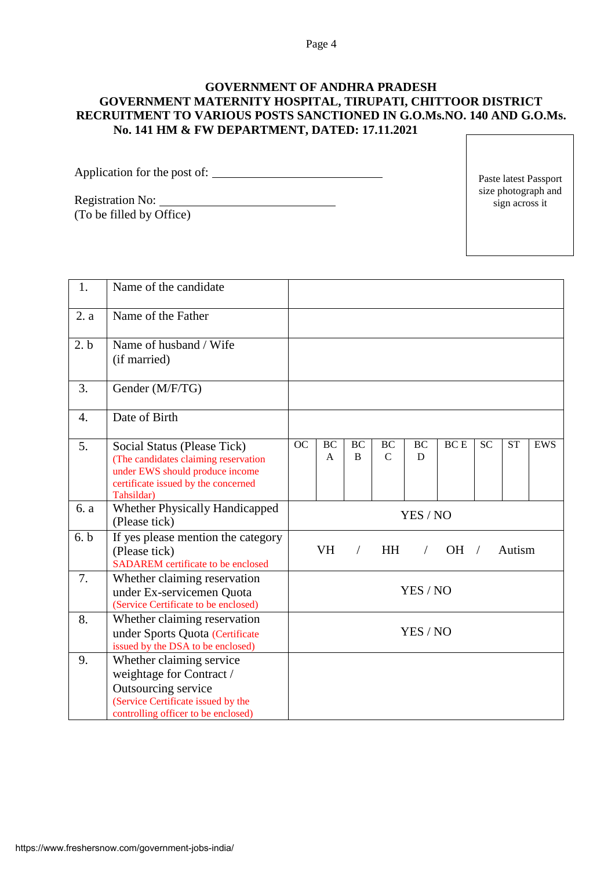## **GOVERNMENT OF ANDHRA PRADESH GOVERNMENT MATERNITY HOSPITAL, TIRUPATI, CHITTOOR DISTRICT RECRUITMENT TO VARIOUS POSTS SANCTIONED IN G.O.Ms.NO. 140 AND G.O.Ms. No. 141 HM & FW DEPARTMENT, DATED: 17.11.2021**

Application for the post of:

Registration No: <u> 1980 - Johann Barbara, martin a</u> (To be filled by Office)

Paste latest Passport size photograph and sign across it

| 1.               | Name of the candidate                                                                                                                                       |                                                                        |                           |                           |                     |                |            |           |           |            |
|------------------|-------------------------------------------------------------------------------------------------------------------------------------------------------------|------------------------------------------------------------------------|---------------------------|---------------------------|---------------------|----------------|------------|-----------|-----------|------------|
| 2. a             | Name of the Father                                                                                                                                          |                                                                        |                           |                           |                     |                |            |           |           |            |
| 2.b              | Name of husband / Wife<br>(if married)                                                                                                                      |                                                                        |                           |                           |                     |                |            |           |           |            |
| 3.               | Gender (M/F/TG)                                                                                                                                             |                                                                        |                           |                           |                     |                |            |           |           |            |
| $\overline{4}$ . | Date of Birth                                                                                                                                               |                                                                        |                           |                           |                     |                |            |           |           |            |
| 5.               | Social Status (Please Tick)<br>(The candidates claiming reservation<br>under EWS should produce income<br>certificate issued by the concerned<br>Tahsildar) | OC                                                                     | <b>BC</b><br>$\mathsf{A}$ | <b>BC</b><br><sub>B</sub> | BC<br>$\mathcal{C}$ | <b>BC</b><br>D | <b>BCE</b> | <b>SC</b> | <b>ST</b> | <b>EWS</b> |
| 6. a             | <b>Whether Physically Handicapped</b><br>(Please tick)                                                                                                      |                                                                        |                           |                           |                     | YES / NO       |            |           |           |            |
| 6. b             | If yes please mention the category<br>(Please tick)<br>SADAREM certificate to be enclosed                                                                   | <b>VH</b><br>$OH$ /<br>Autism<br><b>HH</b><br>$\sqrt{2}$<br>$\sqrt{2}$ |                           |                           |                     |                |            |           |           |            |
| 7.               | Whether claiming reservation<br>under Ex-servicemen Quota<br>(Service Certificate to be enclosed)                                                           |                                                                        |                           |                           |                     | YES / NO       |            |           |           |            |
| 8.               | Whether claiming reservation<br>under Sports Quota (Certificate<br>issued by the DSA to be enclosed)                                                        | YES / NO                                                               |                           |                           |                     |                |            |           |           |            |
| 9.               | Whether claiming service<br>weightage for Contract /<br>Outsourcing service<br>(Service Certificate issued by the<br>controlling officer to be enclosed)    |                                                                        |                           |                           |                     |                |            |           |           |            |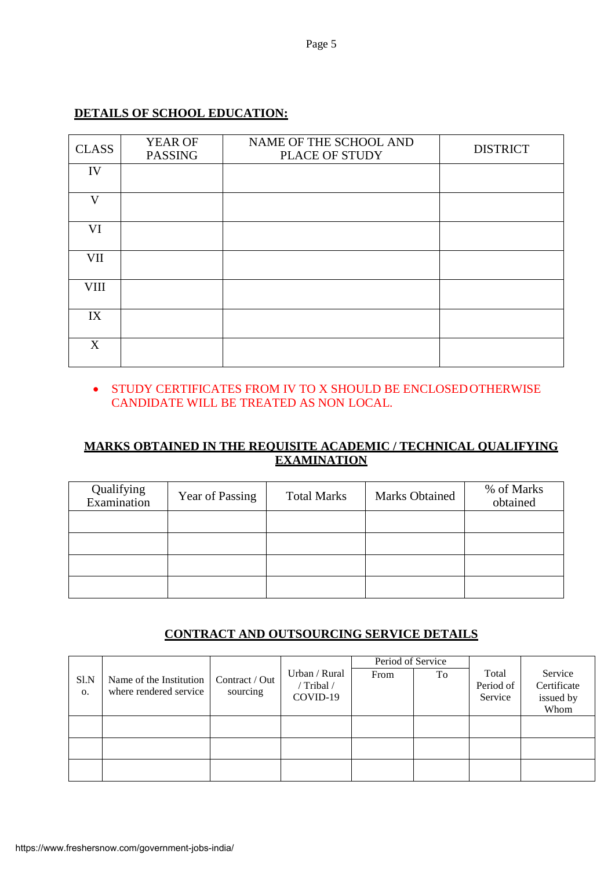# **DETAILS OF SCHOOL EDUCATION:**

| <b>CLASS</b> | YEAR OF<br><b>PASSING</b> | NAME OF THE SCHOOL AND<br>PLACE OF STUDY | <b>DISTRICT</b> |
|--------------|---------------------------|------------------------------------------|-----------------|
| IV           |                           |                                          |                 |
| $\mathbf{V}$ |                           |                                          |                 |
| VI           |                           |                                          |                 |
| VII          |                           |                                          |                 |
| <b>VIII</b>  |                           |                                          |                 |
| IX           |                           |                                          |                 |
| X            |                           |                                          |                 |

## STUDY CERTIFICATES FROM IV TO X SHOULD BE ENCLOSEDOTHERWISE CANDIDATE WILL BE TREATED AS NON LOCAL.

# **MARKS OBTAINED IN THE REQUISITE ACADEMIC / TECHNICAL QUALIFYING EXAMINATION**

| Qualifying<br>Examination | Year of Passing | <b>Total Marks</b> | <b>Marks Obtained</b> | % of Marks<br>obtained |
|---------------------------|-----------------|--------------------|-----------------------|------------------------|
|                           |                 |                    |                       |                        |
|                           |                 |                    |                       |                        |
|                           |                 |                    |                       |                        |
|                           |                 |                    |                       |                        |

## **CONTRACT AND OUTSOURCING SERVICE DETAILS**

|                        |                                                   |                            |                           | Period of Service |    |                    |                        |
|------------------------|---------------------------------------------------|----------------------------|---------------------------|-------------------|----|--------------------|------------------------|
| Sl.N<br>$\mathbf{O}$ . | Name of the Institution<br>where rendered service | Contract / Out<br>sourcing | Urban / Rural<br>/Tribal/ | From              | To | Total<br>Period of | Service<br>Certificate |
|                        |                                                   |                            | COVID-19                  |                   |    | Service            | issued by<br>Whom      |
|                        |                                                   |                            |                           |                   |    |                    |                        |
|                        |                                                   |                            |                           |                   |    |                    |                        |
|                        |                                                   |                            |                           |                   |    |                    |                        |
|                        |                                                   |                            |                           |                   |    |                    |                        |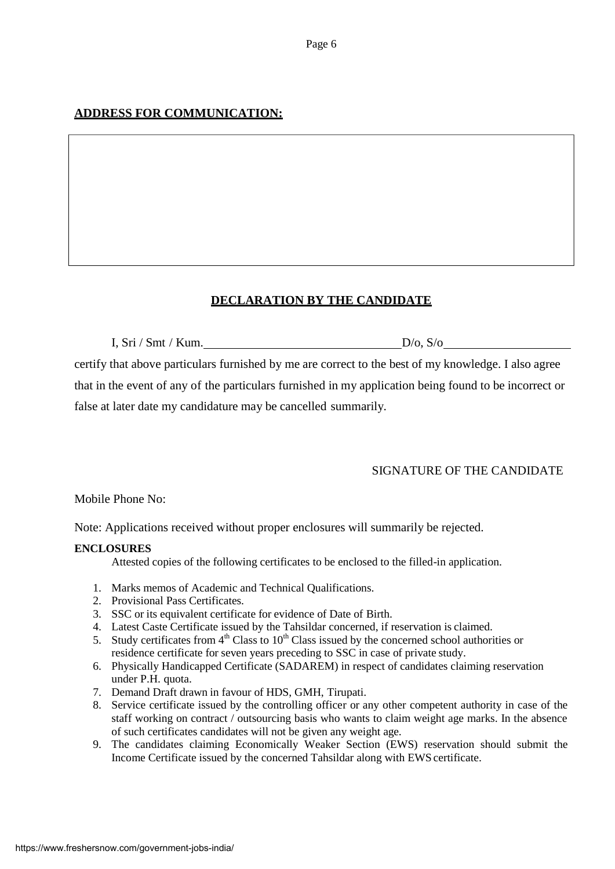# **ADDRESS FOR COMMUNICATION:**

# **DECLARATION BY THE CANDIDATE**

I, Sri / Smt / Kum. D/o, S/o

certify that above particulars furnished by me are correct to the best of my knowledge. I also agree that in the event of any of the particulars furnished in my application being found to be incorrect or false at later date my candidature may be cancelled summarily.

# SIGNATURE OF THE CANDIDATE

Mobile Phone No:

Note: Applications received without proper enclosures will summarily be rejected.

### **ENCLOSURES**

Attested copies of the following certificates to be enclosed to the filled-in application.

- 1. Marks memos of Academic and Technical Qualifications.
- 2. Provisional Pass Certificates.
- 3. SSC or its equivalent certificate for evidence of Date of Birth.
- 4. Latest Caste Certificate issued by the Tahsildar concerned, if reservation is claimed.
- 5. Study certificates from  $4<sup>th</sup>$  Class to  $10<sup>th</sup>$  Class issued by the concerned school authorities or residence certificate for seven years preceding to SSC in case of private study.
- 6. Physically Handicapped Certificate (SADAREM) in respect of candidates claiming reservation under P.H. quota.
- 7. Demand Draft drawn in favour of HDS, GMH, Tirupati.
- 8. Service certificate issued by the controlling officer or any other competent authority in case of the staff working on contract / outsourcing basis who wants to claim weight age marks. In the absence of such certificates candidates will not be given any weight age.
- 9. The candidates claiming Economically Weaker Section (EWS) reservation should submit the Income Certificate issued by the concerned Tahsildar along with EWS certificate.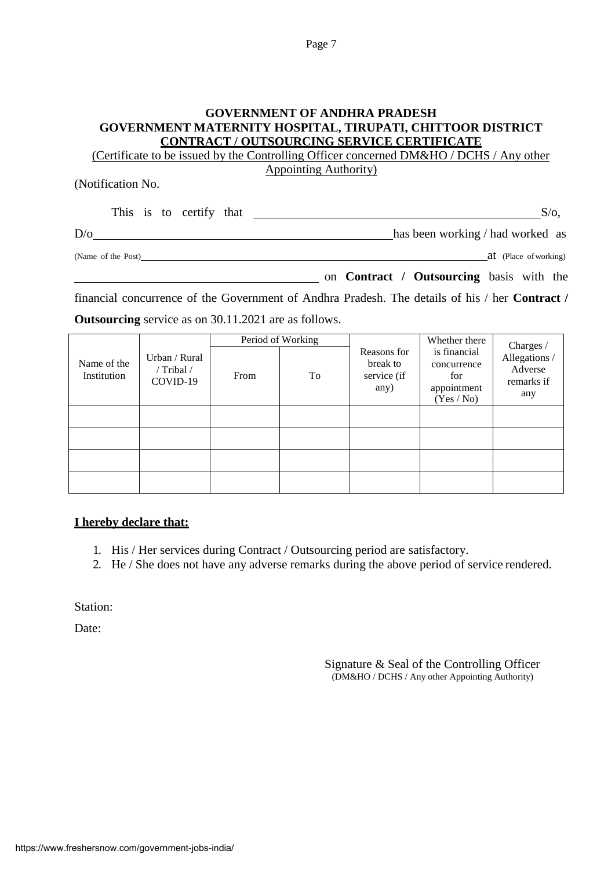## **GOVERNMENT OF ANDHRA PRADESH GOVERNMENT MATERNITY HOSPITAL, TIRUPATI, CHITTOOR DISTRICT CONTRACT / OUTSOURCING SERVICE CERTIFICATE**

(Certificate to be issued by the Controlling Officer concerned DM&HO / DCHS / Any other Appointing Authority)

(Notification No.

|                    |  | This is to certify that | S/O                              |
|--------------------|--|-------------------------|----------------------------------|
| D/O                |  |                         | has been working / had worked as |
| (Name of the Post) |  |                         | at (Place of working)            |

|      |  |  | on Contract / Outsourcing basis with the |               |  |
|------|--|--|------------------------------------------|---------------|--|
| $-1$ |  |  | .                                        | $\sim$ $\sim$ |  |

financial concurrence of the Government of Andhra Pradesh. The details of his / her **Contract / Outsourcing** service as on 30.11.2021 are as follows.

|                            |                                         |      | Period of Working |                                                | Whether there                                                   | Charges /                                    |
|----------------------------|-----------------------------------------|------|-------------------|------------------------------------------------|-----------------------------------------------------------------|----------------------------------------------|
| Name of the<br>Institution | Urban / Rural<br>/ Tribal /<br>COVID-19 | From | To                | Reasons for<br>break to<br>service (if<br>any) | is financial<br>concurrence<br>for<br>appointment<br>(Yes / No) | Allegations/<br>Adverse<br>remarks if<br>any |
|                            |                                         |      |                   |                                                |                                                                 |                                              |
|                            |                                         |      |                   |                                                |                                                                 |                                              |
|                            |                                         |      |                   |                                                |                                                                 |                                              |
|                            |                                         |      |                   |                                                |                                                                 |                                              |

### **I hereby declare that:**

- 1. His / Her services during Contract / Outsourcing period are satisfactory.
- 2. He / She does not have any adverse remarks during the above period of service rendered.

Station:

Date:

Signature & Seal of the Controlling Officer (DM&HO / DCHS / Any other Appointing Authority)